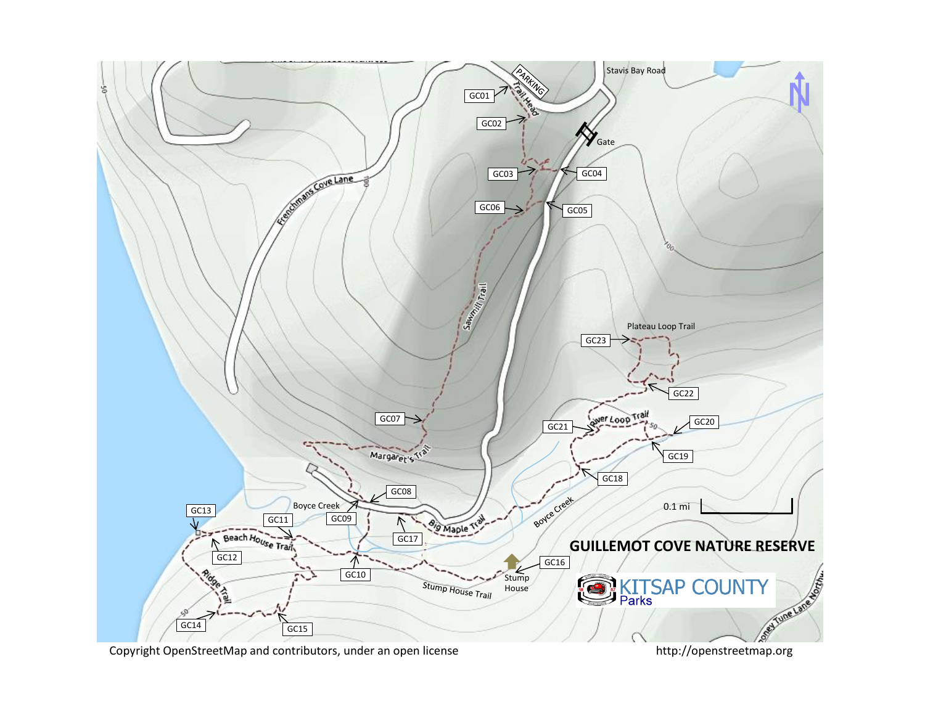